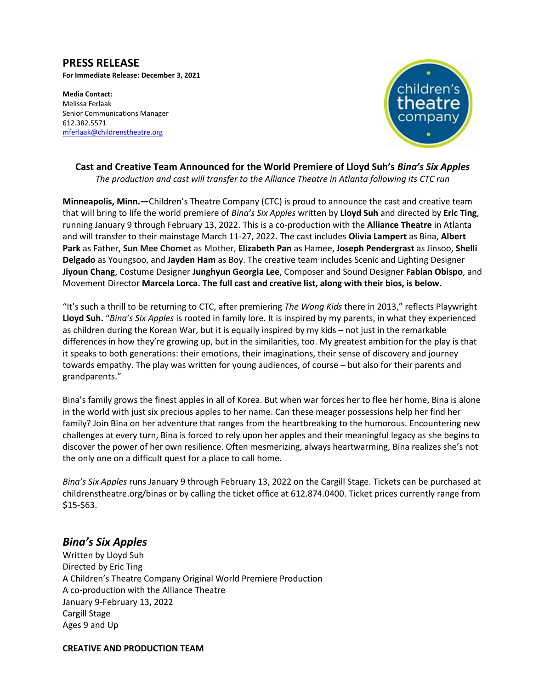## **PRESS RELEASE For Immediate Release: December 3, 2021**

**Media Contact:**  Melissa Ferlaak Senior Communications Manager 612.382.5571 [mferlaak@childrenstheatre.org](mailto:mferlaak@childrenstheatre.org)



# **Cast and Creative Team Announced for the World Premiere of Lloyd Suh's** *Bina's Six Apples The production and cast will transfer to the Alliance Theatre in Atlanta following its CTC run*

**Minneapolis, Minn.—**Children's Theatre Company (CTC) is proud to announce the cast and creative team that will bring to life the world premiere of *Bina's Six Apples* written by **Lloyd Suh** and directed by **Eric Ting**, running January 9 through February 13, 2022. This is a co-production with the **Alliance Theatre** in Atlanta and will transfer to their mainstage March 11-27, 2022. The cast includes **Olivia Lampert** as Bina, **Albert Park** as Father, **Sun Mee Chomet** as Mother, **Elizabeth Pan** as Hamee, **Joseph Pendergrast** as Jinsoo, **Shelli Delgado** as Youngsoo, and **Jayden Ham** as Boy. The creative team includes Scenic and Lighting Designer **Jiyoun Chang**, Costume Designer **Junghyun Georgia Lee**, Composer and Sound Designer **Fabian Obispo**, and Movement Director **Marcela Lorca. The full cast and creative list, along with their bios, is below.** 

"It's such a thrill to be returning to CTC, after premiering *The Wong Kids* there in 2013," reflects Playwright **Lloyd Suh.** "*Bina's Six Apples* is rooted in family lore. It is inspired by my parents, in what they experienced as children during the Korean War, but it is equally inspired by my kids – not just in the remarkable differences in how they're growing up, but in the similarities, too. My greatest ambition for the play is that it speaks to both generations: their emotions, their imaginations, their sense of discovery and journey towards empathy. The play was written for young audiences, of course – but also for their parents and grandparents."

Bina's family grows the finest apples in all of Korea. But when war forces her to flee her home, Bina is alone in the world with just six precious apples to her name. Can these meager possessions help her find her family? Join Bina on her adventure that ranges from the heartbreaking to the humorous. Encountering new challenges at every turn, Bina is forced to rely upon her apples and their meaningful legacy as she begins to discover the power of her own resilience. Often mesmerizing, always heartwarming, Bina realizes she's not the only one on a difficult quest for a place to call home.

*Bina's Six Apples* runs January 9 through February 13, 2022 on the Cargill Stage. Tickets can be purchased at childrenstheatre.org/binas or by calling the ticket office at 612.874.0400. Ticket prices currently range from \$15-\$63.

# *Bina's Six Apples*

Written by Lloyd Suh Directed by Eric Ting A Children's Theatre Company Original World Premiere Production A co-production with the Alliance Theatre January 9-February 13, 2022 Cargill Stage Ages 9 and Up

**CREATIVE AND PRODUCTION TEAM**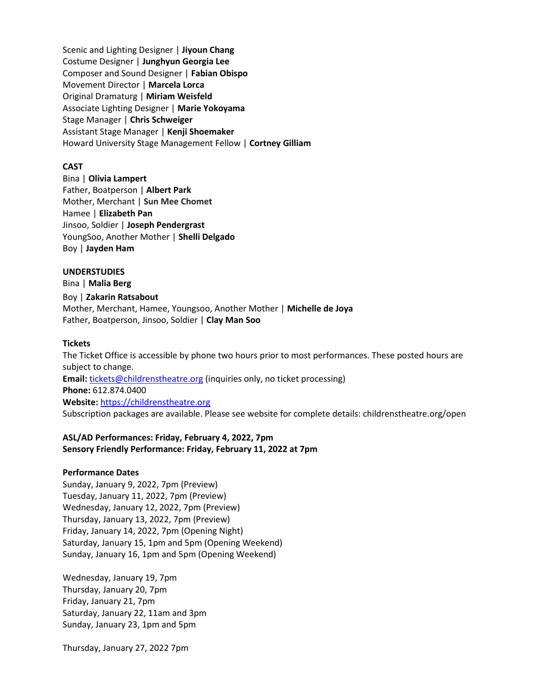Scenic and Lighting Designer | **Jiyoun Chang** Costume Designer | **Junghyun Georgia Lee** Composer and Sound Designer | **Fabian Obispo** Movement Director | **Marcela Lorca** Original Dramaturg | **Miriam Weisfeld** Associate Lighting Designer | **Marie Yokoyama** Stage Manager | **Chris Schweiger** Assistant Stage Manager | **Kenji Shoemaker** Howard University Stage Management Fellow | **Cortney Gilliam**

## **CAST**

Bina | **Olivia Lampert** Father, Boatperson | **Albert Park** Mother, Merchant | **Sun Mee Chomet** Hamee | **Elizabeth Pan** Jinsoo, Soldier | **Joseph Pendergrast** YoungSoo, Another Mother | **Shelli Delgado** Boy | **Jayden Ham**

#### **UNDERSTUDIES**

Bina | **Malia Berg** Boy | **Zakarin Ratsabout** Mother, Merchant, Hamee, Youngsoo, Another Mother | **Michelle de Joya** Father, Boatperson, Jinsoo, Soldier | **Clay Man Soo**

#### **Tickets**

The Ticket Office is accessible by phone two hours prior to most performances. These posted hours are subject to change. **Email:** [tickets@childrenstheatre.org](mailto:tickets@childrenstheatre.org) (inquiries only, no ticket processing) **Phone:** 612.874.0400 **Website:** [https://childrenstheatre.org](https://childrenstheatre.org/) Subscription packages are available. Please see website for complete details: childrenstheatre.org/open

## **ASL/AD Performances: Friday, February 4, 2022, 7pm Sensory Friendly Performance: Friday, February 11, 2022 at 7pm**

## **Performance Dates**

Sunday, January 9, 2022, 7pm (Preview) Tuesday, January 11, 2022, 7pm (Preview) Wednesday, January 12, 2022, 7pm (Preview) Thursday, January 13, 2022, 7pm (Preview) Friday, January 14, 2022, 7pm (Opening Night) Saturday, January 15, 1pm and 5pm (Opening Weekend) Sunday, January 16, 1pm and 5pm (Opening Weekend)

Wednesday, January 19, 7pm Thursday, January 20, 7pm Friday, January 21, 7pm Saturday, January 22, 11am and 3pm Sunday, January 23, 1pm and 5pm

Thursday, January 27, 2022 7pm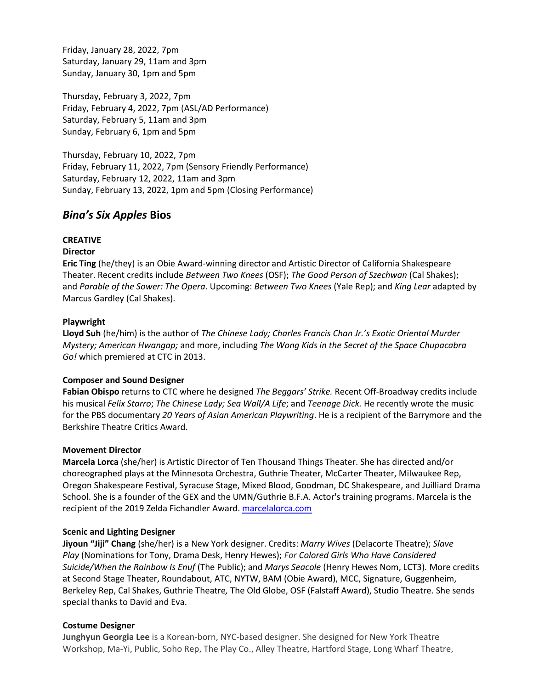Friday, January 28, 2022, 7pm Saturday, January 29, 11am and 3pm Sunday, January 30, 1pm and 5pm

Thursday, February 3, 2022, 7pm Friday, February 4, 2022, 7pm (ASL/AD Performance) Saturday, February 5, 11am and 3pm Sunday, February 6, 1pm and 5pm

Thursday, February 10, 2022, 7pm Friday, February 11, 2022, 7pm (Sensory Friendly Performance) Saturday, February 12, 2022, 11am and 3pm Sunday, February 13, 2022, 1pm and 5pm (Closing Performance)

# *Bina's Six Apples* **Bios**

# **CREATIVE**

# **Director**

**Eric Ting** (he/they) is an Obie Award-winning director and Artistic Director of California Shakespeare Theater. Recent credits include *Between Two Knees* (OSF); *The Good Person of Szechwan* (Cal Shakes); and *Parable of the Sower: The Opera*. Upcoming: *Between Two Knees* (Yale Rep); and *King Lear* adapted by Marcus Gardley (Cal Shakes).

# **Playwright**

**Lloyd Suh** (he/him) is the author of *The Chinese Lady; Charles Francis Chan Jr.'s Exotic Oriental Murder Mystery; American Hwangap;* and more, including *The Wong Kids in the Secret of the Space Chupacabra Go!* which premiered at CTC in 2013.

# **Composer and Sound Designer**

**Fabian Obispo** returns to CTC where he designed *The Beggars' Strike.* Recent Off-Broadway credits include his musical *Felix Starro*; *The Chinese Lady; Sea Wall/A Life*; and *Teenage Dick.* He recently wrote the music for the PBS documentary *20 Years of Asian American Playwriting*. He is a recipient of the Barrymore and the Berkshire Theatre Critics Award.

# **Movement Director**

**Marcela Lorca** (she/her) is Artistic Director of Ten Thousand Things Theater. She has directed and/or choreographed plays at the Minnesota Orchestra, Guthrie Theater, McCarter Theater, Milwaukee Rep, Oregon Shakespeare Festival, Syracuse Stage, Mixed Blood, Goodman, DC Shakespeare, and Juilliard Drama School. She is a founder of the GEX and the UMN/Guthrie B.F.A. Actor's training programs. Marcela is the recipient of the 2019 Zelda Fichandler Award. [marcelalorca.com](http://marcelalorca.com/)

# **Scenic and Lighting Designer**

**Jiyoun "Jiji" Chang** (she/her) is a New York designer. Credits: *Marry Wives* (Delacorte Theatre); *Slave Play* (Nominations for Tony, Drama Desk, Henry Hewes); *For Colored Girls Who Have Considered Suicide/When the Rainbow Is Enuf* (The Public); and *Marys Seacole* (Henry Hewes Nom, LCT3)*.* More credits at Second Stage Theater, Roundabout, ATC, NYTW, BAM (Obie Award), MCC, Signature, Guggenheim, Berkeley Rep, Cal Shakes, Guthrie Theatre*,* The Old Globe, OSF (Falstaff Award), Studio Theatre. She sends special thanks to David and Eva.

# **Costume Designer**

**Junghyun Georgia Lee** is a Korean-born, NYC-based designer. She designed for New York Theatre Workshop, Ma-Yi, Public, Soho Rep, The Play Co., Alley Theatre, Hartford Stage, Long Wharf Theatre,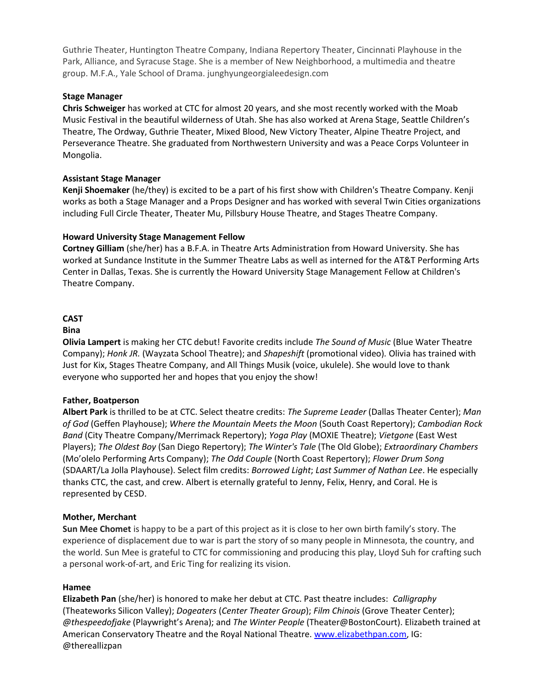Guthrie Theater, Huntington Theatre Company, Indiana Repertory Theater, Cincinnati Playhouse in the Park, Alliance, and Syracuse Stage. She is a member of New Neighborhood, a multimedia and theatre group. M.F.A., Yale School of Drama. junghyungeorgialeedesign.com

# **Stage Manager**

**Chris Schweiger** has worked at CTC for almost 20 years, and she most recently worked with the Moab Music Festival in the beautiful wilderness of Utah. She has also worked at Arena Stage, Seattle Children's Theatre, The Ordway, Guthrie Theater, Mixed Blood, New Victory Theater, Alpine Theatre Project, and Perseverance Theatre. She graduated from Northwestern University and was a Peace Corps Volunteer in Mongolia.

## **Assistant Stage Manager**

**Kenji Shoemaker** (he/they) is excited to be a part of his first show with Children's Theatre Company. Kenji works as both a Stage Manager and a Props Designer and has worked with several Twin Cities organizations including Full Circle Theater, Theater Mu, Pillsbury House Theatre, and Stages Theatre Company.

## **Howard University Stage Management Fellow**

**Cortney Gilliam** (she/her) has a B.F.A. in Theatre Arts Administration from Howard University. She has worked at Sundance Institute in the Summer Theatre Labs as well as interned for the AT&T Performing Arts Center in Dallas, Texas. She is currently the Howard University Stage Management Fellow at Children's Theatre Company.

### **CAST**

### **Bina**

**Olivia Lampert** is making her CTC debut! Favorite credits include *The Sound of Music* (Blue Water Theatre Company); *Honk JR.* (Wayzata School Theatre); and *Shapeshift* (promotional video)*.* Olivia has trained with Just for Kix, Stages Theatre Company, and All Things Musik (voice, ukulele). She would love to thank everyone who supported her and hopes that you enjoy the show!

### **Father, Boatperson**

**Albert Park** is thrilled to be at CTC. Select theatre credits: *The Supreme Leader* (Dallas Theater Center); *Man of God* (Geffen Playhouse); *Where the Mountain Meets the Moon* (South Coast Repertory); *Cambodian Rock Band* (City Theatre Company/Merrimack Repertory); *Yoga Play* (MOXIE Theatre); *Vietgone* (East West Players); *The Oldest Boy* (San Diego Repertory); *The Winter's Tale* (The Old Globe); *Extraordinary Chambers* (Mo'olelo Performing Arts Company); *The Odd Couple* (North Coast Repertory); *Flower Drum Song* (SDAART/La Jolla Playhouse). Select film credits: *Borrowed Light*; *Last Summer of Nathan Lee*. He especially thanks CTC, the cast, and crew. Albert is eternally grateful to Jenny, Felix, Henry, and Coral. He is represented by CESD.

### **Mother, Merchant**

**Sun Mee Chomet** is happy to be a part of this project as it is close to her own birth family's story. The experience of displacement due to war is part the story of so many people in Minnesota, the country, and the world. Sun Mee is grateful to CTC for commissioning and producing this play, Lloyd Suh for crafting such a personal work-of-art, and Eric Ting for realizing its vision.

### **Hamee**

**Elizabeth Pan** (she/her) is honored to make her debut at CTC. Past theatre includes: *Calligraphy* (Theateworks Silicon Valley); *Dogeaters* (*Center Theater Group*); *Film Chinois* (Grove Theater Center); *@thespeedofjake* (Playwright's Arena); and *The Winter People* (Theater@BostonCourt). Elizabeth trained at American Conservatory Theatre and the Royal National Theatre. [www.elizabethpan.com,](http://www.elizabethpan.com/) IG: @thereallizpan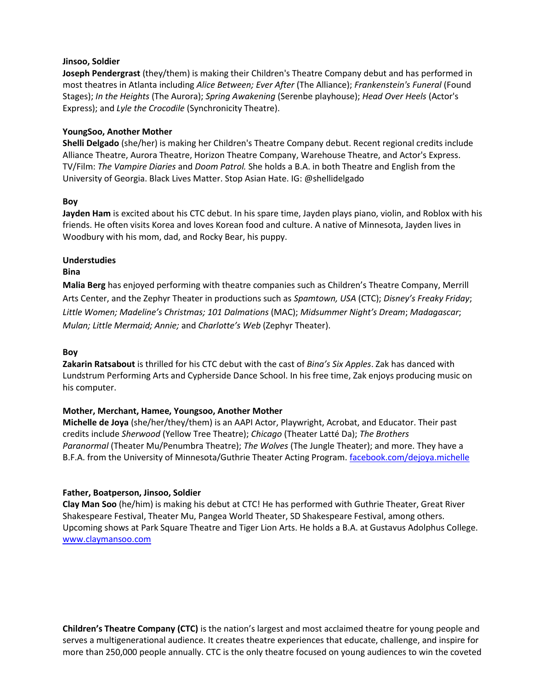# **Jinsoo, Soldier**

**Joseph Pendergrast** (they/them) is making their Children's Theatre Company debut and has performed in most theatres in Atlanta including *Alice Between; Ever After* (The Alliance); *Frankenstein's Funeral* (Found Stages); *In the Heights* (The Aurora); *Spring Awakening* (Serenbe playhouse); *Head Over Heels* (Actor's Express); and *Lyle the Crocodile* (Synchronicity Theatre).

## **YoungSoo, Another Mother**

**Shelli Delgado** (she/her) is making her Children's Theatre Company debut. Recent regional credits include Alliance Theatre, Aurora Theatre, Horizon Theatre Company, Warehouse Theatre, and Actor's Express. TV/Film: *The Vampire Diaries* and *Doom Patrol.* She holds a B.A. in both Theatre and English from the University of Georgia. Black Lives Matter. Stop Asian Hate. IG: @shellidelgado

## **Boy**

**Jayden Ham** is excited about his CTC debut. In his spare time, Jayden plays piano, violin, and Roblox with his friends. He often visits Korea and loves Korean food and culture. A native of Minnesota, Jayden lives in Woodbury with his mom, dad, and Rocky Bear, his puppy.

# **Understudies**

### **Bina**

**Malia Berg** has enjoyed performing with theatre companies such as Children's Theatre Company, Merrill Arts Center, and the Zephyr Theater in productions such as *Spamtown, USA* (CTC); *Disney's Freaky Friday*; *Little Women; Madeline's Christmas; 101 Dalmations* (MAC); *Midsummer Night's Dream*; *Madagascar*; *Mulan; Little Mermaid; Annie;* and *Charlotte's Web* (Zephyr Theater).

### **Boy**

**Zakarin Ratsabout** is thrilled for his CTC debut with the cast of *Bina's Six Apples*. Zak has danced with Lundstrum Performing Arts and Cypherside Dance School. In his free time, Zak enjoys producing music on his computer.

# **Mother, Merchant, Hamee, Youngsoo, Another Mother**

**Michelle de Joya** (she/her/they/them) is an AAPI Actor, Playwright, Acrobat, and Educator. Their past credits include *Sherwood* (Yellow Tree Theatre); *Chicago* (Theater Latté Da); *The Brothers Paranormal* (Theater Mu/Penumbra Theatre); *The Wolves* (The Jungle Theater); and more. They have a B.F.A. from the University of Minnesota/Guthrie Theater Acting Program[. facebook.com/dejoya.michelle](http://facebook.com/dejoya.michelle)

# **Father, Boatperson, Jinsoo, Soldier**

**Clay Man Soo** (he/him) is making his debut at CTC! He has performed with Guthrie Theater, Great River Shakespeare Festival, Theater Mu, Pangea World Theater, SD Shakespeare Festival, among others. Upcoming shows at Park Square Theatre and Tiger Lion Arts. He holds a B.A. at Gustavus Adolphus College. [www.claymansoo.com](http://www.claymansoo.com/)

**Children's Theatre Company (CTC)** is the nation's largest and most acclaimed theatre for young people and serves a multigenerational audience. It creates theatre experiences that educate, challenge, and inspire for more than 250,000 people annually. CTC is the only theatre focused on young audiences to win the coveted